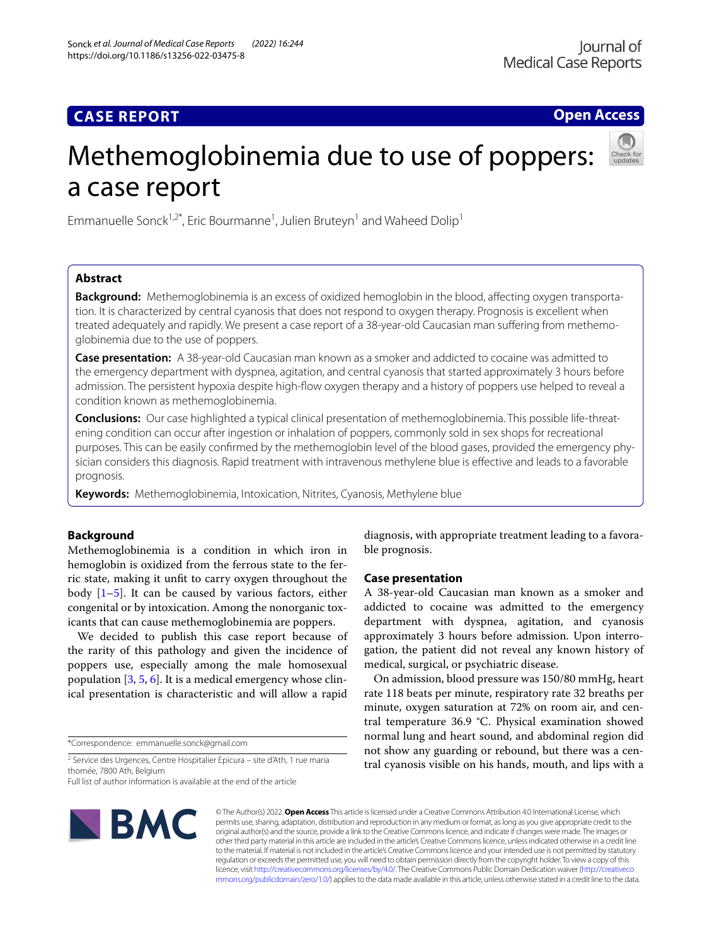## **CASE REPORT**

**Open Access**

# Methemoglobinemia due to use of poppers: a case report

Emmanuelle Sonck<sup>1,2\*</sup>, Eric Bourmanne<sup>1</sup>, Julien Bruteyn<sup>1</sup> and Waheed Dolip<sup>1</sup>

## **Abstract**

**Background:** Methemoglobinemia is an excess of oxidized hemoglobin in the blood, afecting oxygen transportation. It is characterized by central cyanosis that does not respond to oxygen therapy. Prognosis is excellent when treated adequately and rapidly. We present a case report of a 38-year-old Caucasian man sufering from methemoglobinemia due to the use of poppers.

**Case presentation:** A 38-year-old Caucasian man known as a smoker and addicted to cocaine was admitted to the emergency department with dyspnea, agitation, and central cyanosis that started approximately 3 hours before admission. The persistent hypoxia despite high-fow oxygen therapy and a history of poppers use helped to reveal a condition known as methemoglobinemia.

**Conclusions:** Our case highlighted a typical clinical presentation of methemoglobinemia. This possible life-threatening condition can occur after ingestion or inhalation of poppers, commonly sold in sex shops for recreational purposes. This can be easily confrmed by the methemoglobin level of the blood gases, provided the emergency physician considers this diagnosis. Rapid treatment with intravenous methylene blue is efective and leads to a favorable prognosis.

**Keywords:** Methemoglobinemia, Intoxication, Nitrites, Cyanosis, Methylene blue

## **Background**

Methemoglobinemia is a condition in which iron in hemoglobin is oxidized from the ferrous state to the ferric state, making it unft to carry oxygen throughout the body  $[1–5]$  $[1–5]$  $[1–5]$ . It can be caused by various factors, either congenital or by intoxication. Among the nonorganic toxicants that can cause methemoglobinemia are poppers.

We decided to publish this case report because of the rarity of this pathology and given the incidence of poppers use, especially among the male homosexual population [[3,](#page-3-2) [5](#page-3-1), [6\]](#page-3-3). It is a medical emergency whose clinical presentation is characteristic and will allow a rapid

\*Correspondence: emmanuelle.sonck@gmail.com

Full list of author information is available at the end of the article



diagnosis, with appropriate treatment leading to a favorable prognosis.

## **Case presentation**

A 38-year-old Caucasian man known as a smoker and addicted to cocaine was admitted to the emergency department with dyspnea, agitation, and cyanosis approximately 3 hours before admission. Upon interrogation, the patient did not reveal any known history of medical, surgical, or psychiatric disease.

On admission, blood pressure was 150/80 mmHg, heart rate 118 beats per minute, respiratory rate 32 breaths per minute, oxygen saturation at 72% on room air, and central temperature 36.9 °C. Physical examination showed normal lung and heart sound, and abdominal region did not show any guarding or rebound, but there was a central cyanosis visible on his hands, mouth, and lips with a

© The Author(s) 2022. **Open Access** This article is licensed under a Creative Commons Attribution 4.0 International License, which permits use, sharing, adaptation, distribution and reproduction in any medium or format, as long as you give appropriate credit to the original author(s) and the source, provide a link to the Creative Commons licence, and indicate if changes were made. The images or other third party material in this article are included in the article's Creative Commons licence, unless indicated otherwise in a credit line to the material. If material is not included in the article's Creative Commons licence and your intended use is not permitted by statutory regulation or exceeds the permitted use, you will need to obtain permission directly from the copyright holder. To view a copy of this licence, visit [http://creativecommons.org/licenses/by/4.0/.](http://creativecommons.org/licenses/by/4.0/) The Creative Commons Public Domain Dedication waiver ([http://creativeco](http://creativecommons.org/publicdomain/zero/1.0/) [mmons.org/publicdomain/zero/1.0/](http://creativecommons.org/publicdomain/zero/1.0/)) applies to the data made available in this article, unless otherwise stated in a credit line to the data.

<sup>&</sup>lt;sup>2</sup> Service des Urgences, Centre Hospitalier Epicura – site d'Ath, 1 rue maria thomée, 7800 Ath, Belgium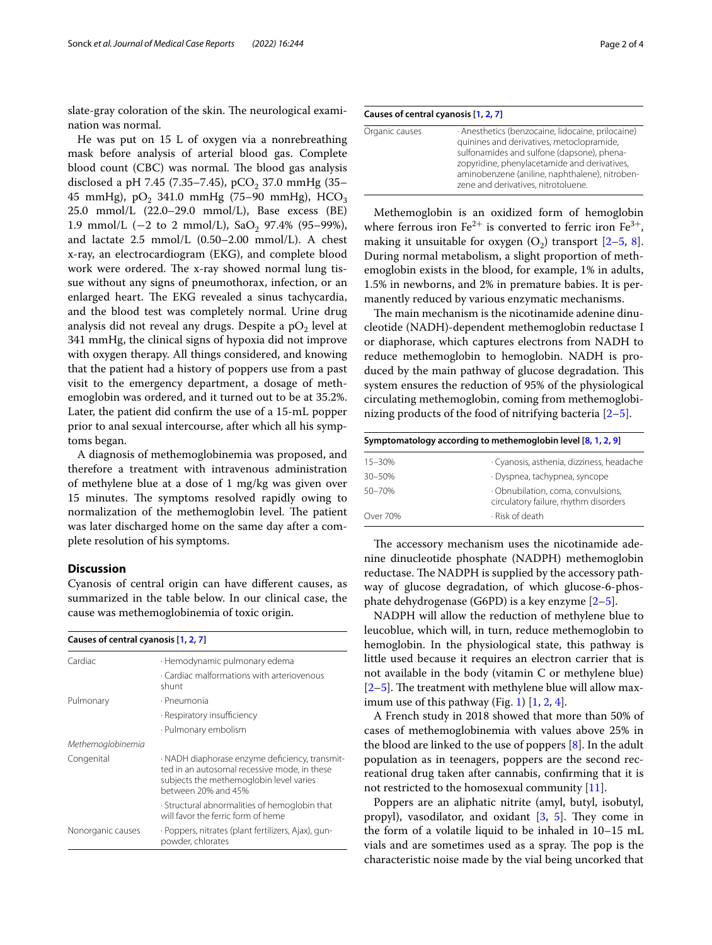slate-gray coloration of the skin. The neurological examination was normal.

He was put on 15 L of oxygen via a nonrebreathing mask before analysis of arterial blood gas. Complete blood count (CBC) was normal. The blood gas analysis disclosed a pH 7.45 (7.35–7.45), pCO<sub>2</sub> 37.0 mmHg (35– 45 mmHg), pO<sub>2</sub> 341.0 mmHg (75–90 mmHg), HCO<sub>3</sub> 25.0 mmol/L (22.0–29.0 mmol/L), Base excess (BE) 1.9 mmol/L ( $-2$  to 2 mmol/L), SaO<sub>2</sub> 97.4% (95–99%), and lactate 2.5 mmol/L (0.50–2.00 mmol/L). A chest x-ray, an electrocardiogram (EKG), and complete blood work were ordered. The x-ray showed normal lung tissue without any signs of pneumothorax, infection, or an enlarged heart. The EKG revealed a sinus tachycardia, and the blood test was completely normal. Urine drug analysis did not reveal any drugs. Despite a  $pO<sub>2</sub>$  level at 341 mmHg, the clinical signs of hypoxia did not improve with oxygen therapy. All things considered, and knowing that the patient had a history of poppers use from a past visit to the emergency department, a dosage of methemoglobin was ordered, and it turned out to be at 35.2%. Later, the patient did confrm the use of a 15-mL popper prior to anal sexual intercourse, after which all his symptoms began.

A diagnosis of methemoglobinemia was proposed, and therefore a treatment with intravenous administration of methylene blue at a dose of 1 mg/kg was given over 15 minutes. The symptoms resolved rapidly owing to normalization of the methemoglobin level. The patient was later discharged home on the same day after a complete resolution of his symptoms.

#### **Discussion**

Cyanosis of central origin can have diferent causes, as summarized in the table below. In our clinical case, the cause was methemoglobinemia of toxic origin.

| Causes of central cyanosis [1, 2, 7] |                                                                                                                                                                  |  |
|--------------------------------------|------------------------------------------------------------------------------------------------------------------------------------------------------------------|--|
| Cardiac                              | · Hemodynamic pulmonary edema                                                                                                                                    |  |
|                                      | · Cardiac malformations with arteriovenous<br>shunt                                                                                                              |  |
| Pulmonary                            | · Pneumonia                                                                                                                                                      |  |
|                                      | · Respiratory insufficiency                                                                                                                                      |  |
|                                      | · Pulmonary embolism                                                                                                                                             |  |
| Methemoglobinemia                    |                                                                                                                                                                  |  |
| Congenital                           | · NADH diaphorase enzyme deficiency, transmit-<br>ted in an autosomal recessive mode, in these<br>subjects the methemoglobin level varies<br>between 20% and 45% |  |
|                                      | . Structural abnormalities of hemoglobin that<br>will favor the ferric form of heme                                                                              |  |
| Nonorganic causes                    | · Poppers, nitrates (plant fertilizers, Ajax), gun-<br>powder, chlorates                                                                                         |  |

| Causes of central cyanosis [1, 2, 7] |                                                                                                                                                                                                                                                                                       |  |
|--------------------------------------|---------------------------------------------------------------------------------------------------------------------------------------------------------------------------------------------------------------------------------------------------------------------------------------|--|
| Organic causes                       | · Anesthetics (benzocaine, lidocaine, prilocaine)<br>guinines and derivatives, metoclopramide,<br>sulfonamides and sulfone (dapsone), phena-<br>zopyridine, phenylacetamide and derivatives,<br>aminobenzene (aniline, naphthalene), nitroben-<br>zene and derivatives, nitrotoluene. |  |

Methemoglobin is an oxidized form of hemoglobin where ferrous iron  $Fe^{2+}$  is converted to ferric iron  $Fe^{3+}$ , making it unsuitable for oxygen  $(O_2)$  transport  $[2-5, 8]$  $[2-5, 8]$  $[2-5, 8]$  $[2-5, 8]$  $[2-5, 8]$ . During normal metabolism, a slight proportion of methemoglobin exists in the blood, for example, 1% in adults, 1.5% in newborns, and 2% in premature babies. It is permanently reduced by various enzymatic mechanisms.

The main mechanism is the nicotinamide adenine dinucleotide (NADH)-dependent methemoglobin reductase I or diaphorase, which captures electrons from NADH to reduce methemoglobin to hemoglobin. NADH is produced by the main pathway of glucose degradation. This system ensures the reduction of 95% of the physiological circulating methemoglobin, coming from methemoglobinizing products of the food of nitrifying bacteria [[2](#page-3-4)[–5](#page-3-1)].

| Symptomatology according to methemoglobin level [8, 1, 2, 9] |                                                                             |  |
|--------------------------------------------------------------|-----------------------------------------------------------------------------|--|
| $15 - 30%$                                                   | · Cyanosis, asthenia, dizziness, headache                                   |  |
| $30 - 50%$                                                   | · Dyspnea, tachypnea, syncope                                               |  |
| $50 - 70%$                                                   | · Obnubilation, coma, convulsions,<br>circulatory failure, rhythm disorders |  |
| Over 70%                                                     | · Risk of death                                                             |  |

The accessory mechanism uses the nicotinamide adenine dinucleotide phosphate (NADPH) methemoglobin reductase. The NADPH is supplied by the accessory pathway of glucose degradation, of which glucose-6-phosphate dehydrogenase (G6PD) is a key enzyme [[2–](#page-3-4)[5\]](#page-3-1).

NADPH will allow the reduction of methylene blue to leucoblue, which will, in turn, reduce methemoglobin to hemoglobin. In the physiological state, this pathway is little used because it requires an electron carrier that is not available in the body (vitamin C or methylene blue)  $[2-5]$  $[2-5]$ . The treatment with methylene blue will allow max-imum use of this pathway (Fig. [1\)](#page-2-0)  $[1, 2, 4]$  $[1, 2, 4]$  $[1, 2, 4]$  $[1, 2, 4]$  $[1, 2, 4]$ .

A French study in 2018 showed that more than 50% of cases of methemoglobinemia with values above 25% in the blood are linked to the use of poppers [[8\]](#page-3-6). In the adult population as in teenagers, poppers are the second recreational drug taken after cannabis, confrming that it is not restricted to the homosexual community [[11](#page-3-9)].

Poppers are an aliphatic nitrite (amyl, butyl, isobutyl, propyl), vasodilator, and oxidant  $[3, 5]$  $[3, 5]$  $[3, 5]$  $[3, 5]$ . They come in the form of a volatile liquid to be inhaled in 10–15 mL vials and are sometimes used as a spray. The pop is the characteristic noise made by the vial being uncorked that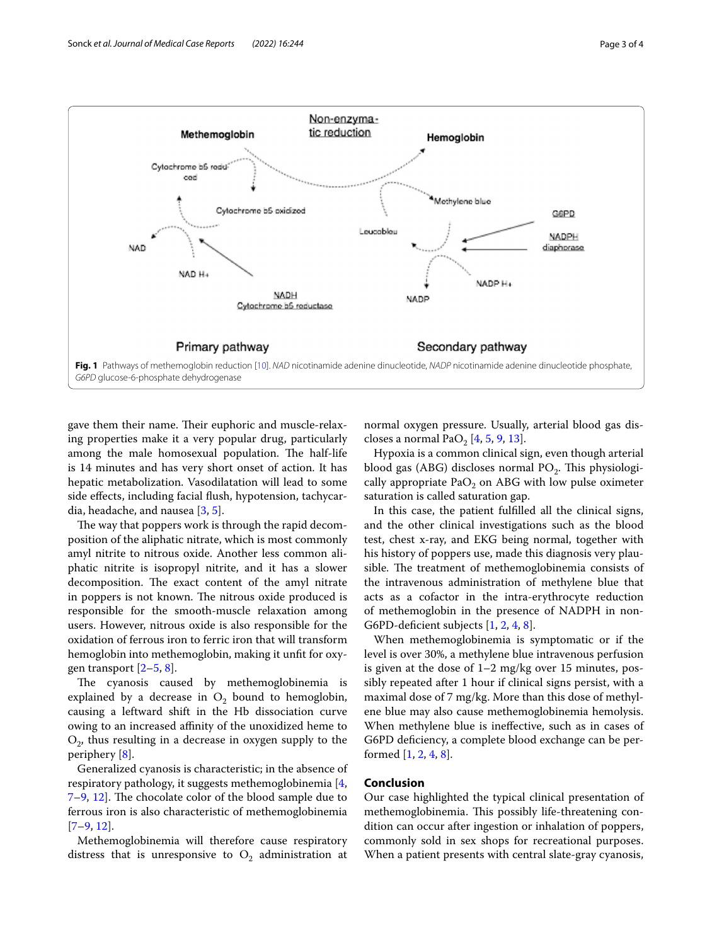

<span id="page-2-0"></span>gave them their name. Their euphoric and muscle-relaxing properties make it a very popular drug, particularly among the male homosexual population. The half-life is 14 minutes and has very short onset of action. It has hepatic metabolization. Vasodilatation will lead to some side efects, including facial fush, hypotension, tachycardia, headache, and nausea [[3,](#page-3-2) [5](#page-3-1)].

The way that poppers work is through the rapid decomposition of the aliphatic nitrate, which is most commonly amyl nitrite to nitrous oxide. Another less common aliphatic nitrite is isopropyl nitrite, and it has a slower decomposition. The exact content of the amyl nitrate in poppers is not known. The nitrous oxide produced is responsible for the smooth-muscle relaxation among users. However, nitrous oxide is also responsible for the oxidation of ferrous iron to ferric iron that will transform hemoglobin into methemoglobin, making it unft for oxygen transport  $[2-5, 8]$  $[2-5, 8]$  $[2-5, 8]$  $[2-5, 8]$ .

The cyanosis caused by methemoglobinemia is explained by a decrease in  $O<sub>2</sub>$  bound to hemoglobin, causing a leftward shift in the Hb dissociation curve owing to an increased affinity of the unoxidized heme to  $O<sub>2</sub>$ , thus resulting in a decrease in oxygen supply to the periphery [\[8](#page-3-6)].

Generalized cyanosis is characteristic; in the absence of respiratory pathology, it suggests methemoglobinemia [\[4](#page-3-8),  $7-9$  $7-9$ , [12](#page-3-10)]. The chocolate color of the blood sample due to ferrous iron is also characteristic of methemoglobinemia [[7–](#page-3-5)[9,](#page-3-7) [12](#page-3-10)].

Methemoglobinemia will therefore cause respiratory distress that is unresponsive to  $O_2$  administration at normal oxygen pressure. Usually, arterial blood gas dis-closes a normal PaO<sub>2</sub> [[4,](#page-3-8) [5](#page-3-1), [9,](#page-3-7) [13\]](#page-3-11).

Hypoxia is a common clinical sign, even though arterial blood gas (ABG) discloses normal  $PO<sub>2</sub>$ . This physiologically appropriate  $PaO<sub>2</sub>$  on ABG with low pulse oximeter saturation is called saturation gap.

In this case, the patient fulflled all the clinical signs, and the other clinical investigations such as the blood test, chest x-ray, and EKG being normal, together with his history of poppers use, made this diagnosis very plausible. The treatment of methemoglobinemia consists of the intravenous administration of methylene blue that acts as a cofactor in the intra-erythrocyte reduction of methemoglobin in the presence of NADPH in non-G6PD-deficient subjects [\[1](#page-3-0), [2,](#page-3-4) [4](#page-3-8), [8\]](#page-3-6).

When methemoglobinemia is symptomatic or if the level is over 30%, a methylene blue intravenous perfusion is given at the dose of 1–2 mg/kg over 15 minutes, possibly repeated after 1 hour if clinical signs persist, with a maximal dose of 7 mg/kg. More than this dose of methylene blue may also cause methemoglobinemia hemolysis. When methylene blue is inefective, such as in cases of G6PD defciency, a complete blood exchange can be performed [\[1](#page-3-0), [2,](#page-3-4) [4](#page-3-8), [8](#page-3-6)].

## **Conclusion**

Our case highlighted the typical clinical presentation of methemoglobinemia. This possibly life-threatening condition can occur after ingestion or inhalation of poppers, commonly sold in sex shops for recreational purposes. When a patient presents with central slate-gray cyanosis,